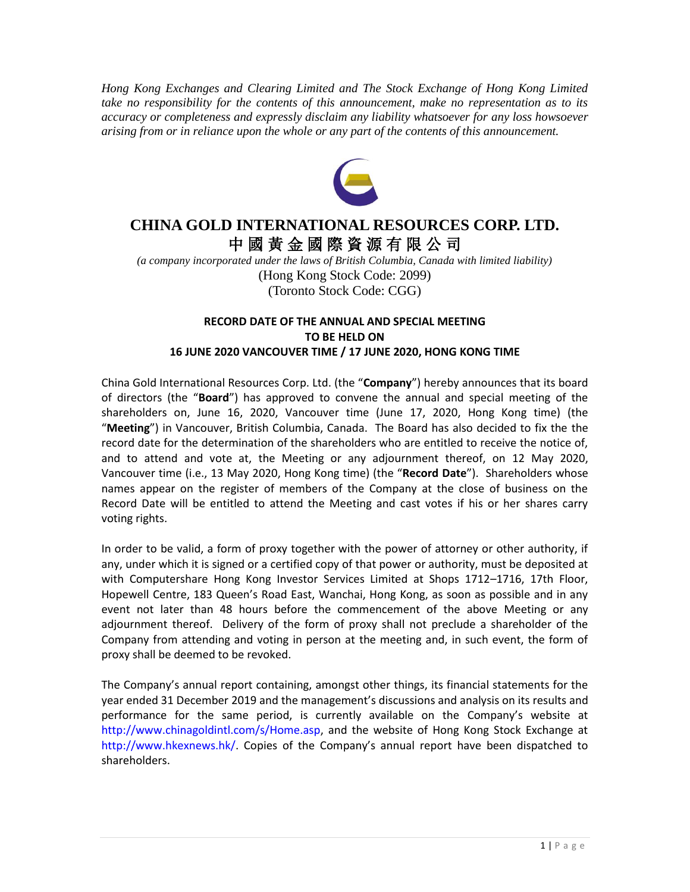*Hong Kong Exchanges and Clearing Limited and The Stock Exchange of Hong Kong Limited take no responsibility for the contents of this announcement, make no representation as to its accuracy or completeness and expressly disclaim any liability whatsoever for any loss howsoever arising from or in reliance upon the whole or any part of the contents of this announcement.*



## **CHINA GOLD INTERNATIONAL RESOURCES CORP. LTD.** 中 國 黃 金 國 際 資 源 有 限 公 司

*(a company incorporated under the laws of British Columbia, Canada with limited liability)* (Hong Kong Stock Code: 2099) (Toronto Stock Code: CGG)

## **RECORD DATE OF THE ANNUAL AND SPECIAL MEETING TO BE HELD ON 16 JUNE 2020 VANCOUVER TIME / 17 JUNE 2020, HONG KONG TIME**

China Gold International Resources Corp. Ltd. (the "**Company**") hereby announces that its board of directors (the "**Board**") has approved to convene the annual and special meeting of the shareholders on, June 16, 2020, Vancouver time (June 17, 2020, Hong Kong time) (the "**Meeting**") in Vancouver, British Columbia, Canada. The Board has also decided to fix the the record date for the determination of the shareholders who are entitled to receive the notice of, and to attend and vote at, the Meeting or any adjournment thereof, on 12 May 2020, Vancouver time (i.e., 13 May 2020, Hong Kong time) (the "**Record Date**"). Shareholders whose names appear on the register of members of the Company at the close of business on the Record Date will be entitled to attend the Meeting and cast votes if his or her shares carry voting rights.

In order to be valid, a form of proxy together with the power of attorney or other authority, if any, under which it is signed or a certified copy of that power or authority, must be deposited at with Computershare Hong Kong Investor Services Limited at Shops 1712–1716, 17th Floor, Hopewell Centre, 183 Queen's Road East, Wanchai, Hong Kong, as soon as possible and in any event not later than 48 hours before the commencement of the above Meeting or any adjournment thereof. Delivery of the form of proxy shall not preclude a shareholder of the Company from attending and voting in person at the meeting and, in such event, the form of proxy shall be deemed to be revoked.

The Company's annual report containing, amongst other things, its financial statements for the year ended 31 December 2019 and the management's discussions and analysis on its results and performance for the same period, is currently available on the Company's website at http://www.chinagoldintl.com/s/Home.asp, and the website of Hong Kong Stock Exchange at http://www.hkexnews.hk/. Copies of the Company's annual report have been dispatched to shareholders.